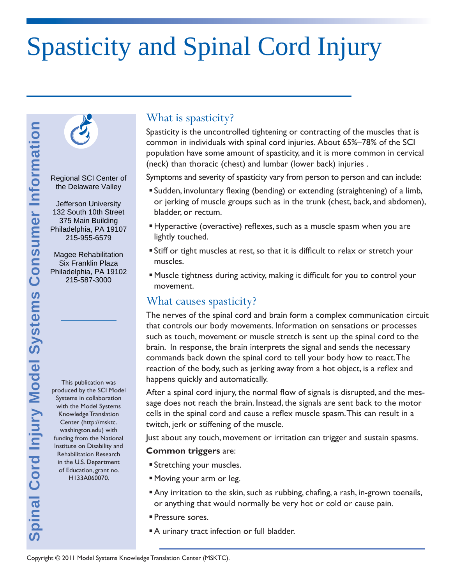# Spasticity and Spinal Cord Injury



the Delaware Valley

Jefferson University 132 South 10th Street 375 Main Building Philadelphia, PA 19107 215-955-6579

Magee Rehabilitation Six Franklin Plaza Philadelphia, PA 19102 215-587-3000

This publication was produced by the SCI Model Systems in collaboration with the Model Systems Knowledge Translation Center (http://msktc. washington.edu) with funding from the National Institute on Disability and Rehabilitation Research in the U.S. Department of Education, grant no. H133A060070.

# What is spasticity?

Spasticity is the uncontrolled tightening or contracting of the muscles that is common in individuals with spinal cord injuries. About 65%–78% of the SCI population have some amount of spasticity, and it is more common in cervical (neck) than thoracic (chest) and lumbar (lower back) injuries .

Symptoms and severity of spasticity vary from person to person and can include:

- $\blacksquare$  Sudden, involuntary flexing (bending) or extending (straightening) of a limb, or jerking of muscle groups such as in the trunk (chest, back, and abdomen), bladder, or rectum.
- Hyperactive (overactive) reflexes, such as a muscle spasm when you are lightly touched.
- **Stiff or tight muscles at rest, so that it is difficult to relax or stretch your** muscles.
- **Muscle tightness during activity, making it difficult for you to control your** movement.

## What causes spasticity?

The nerves of the spinal cord and brain form a complex communication circuit that controls our body movements. Information on sensations or processes such as touch, movement or muscle stretch is sent up the spinal cord to the brain. In response, the brain interprets the signal and sends the necessary commands back down the spinal cord to tell your body how to react. The reaction of the body, such as jerking away from a hot object, is a reflex and happens quickly and automatically.

After a spinal cord injury, the normal flow of signals is disrupted, and the message does not reach the brain. Instead, the signals are sent back to the motor cells in the spinal cord and cause a reflex muscle spasm. This can result in a twitch, jerk or stiffening of the muscle.

Just about any touch, movement or irritation can trigger and sustain spasms.

#### **Common triggers** are:

- Stretching your muscles.
- Moving your arm or leg.
- Any irritation to the skin, such as rubbing, chafing, a rash, in-grown toenails, or anything that would normally be very hot or cold or cause pain.
- **Pressure sores.**
- A urinary tract infection or full bladder.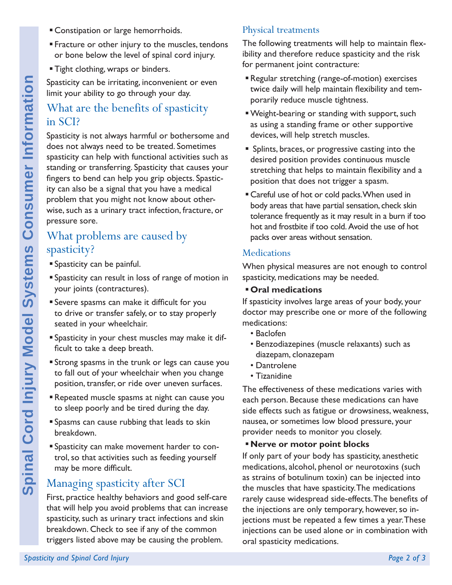- 
- **Constipation or large hemorrhoids.**
- **Fracture or other injury to the muscles, tendons** or bone below the level of spinal cord injury.
- **Tight clothing, wraps or binders.**

Spasticity can be irritating, inconvenient or even limit your ability to go through your day.

# What are the benefits of spasticity in SCI?

**Spasticity can be irritative spinal Cord Injury** cord What are the benin SCI?<br> **Spasticity is not always does not always incedit spasticity can help with standing or transferring fingers to bend can help irrolem that you** Spasticity is not always harmful or bothersome and does not always need to be treated. Sometimes spasticity can help with functional activities such as standing or transferring. Spasticity that causes your fingers to bend can help you grip objects. Spasticity can also be a signal that you have a medical problem that you might not know about otherwise, such as a urinary tract infection, fracture, or pressure sore.

## What problems are caused by spasticity?

- Spasticity can be painful.
- Spasticity can result in loss of range of motion in your joints (contractures).
- Severe spasms can make it difficult for you to drive or transfer safely, or to stay properly seated in your wheelchair.
- Spasticity in your chest muscles may make it difficult to take a deep breath.
- **Strong spasms in the trunk or legs can cause you** to fall out of your wheelchair when you change position, transfer, or ride over uneven surfaces.
- Repeated muscle spasms at night can cause you to sleep poorly and be tired during the day.
- **Spasms can cause rubbing that leads to skin** breakdown.
- Spasticity can make movement harder to control, so that activities such as feeding yourself may be more difficult.

# Managing spasticity after SCI

First, practice healthy behaviors and good self-care that will help you avoid problems that can increase spasticity, such as urinary tract infections and skin breakdown. Check to see if any of the common triggers listed above may be causing the problem.

## Physical treatments

The following treatments will help to maintain flexibility and therefore reduce spasticity and the risk for permanent joint contracture:

- Regular stretching (range-of-motion) exercises twice daily will help maintain flexibility and temporarily reduce muscle tightness.
- Weight-bearing or standing with support, such as using a standing frame or other supportive devices, will help stretch muscles.
- **Splints, braces, or progressive casting into the** desired position provides continuous muscle stretching that helps to maintain flexibility and a position that does not trigger a spasm.
- Careful use of hot or cold packs. When used in body areas that have partial sensation, check skin tolerance frequently as it may result in a burn if too hot and frostbite if too cold. Avoid the use of hot packs over areas without sensation.

## **Medications**

When physical measures are not enough to control spasticity, medications may be needed.

#### **Oral medications**

If spasticity involves large areas of your body, your doctor may prescribe one or more of the following medications:

- Baclofen
- Benzodiazepines (muscle relaxants) such as diazepam, clonazepam
- Dantrolene
- Tizanidine

The effectiveness of these medications varies with each person. Because these medications can have side effects such as fatigue or drowsiness, weakness, nausea, or sometimes low blood pressure, your provider needs to monitor you closely.

#### **Nerve or motor point blocks**

If only part of your body has spasticity, anesthetic medications, alcohol, phenol or neurotoxins (such as strains of botulinum toxin) can be injected into the muscles that have spasticity. The medications rarely cause widespread side-effects. The benefits of the injections are only temporary, however, so injections must be repeated a few times a year. These injections can be used alone or in combination with oral spasticity medications.